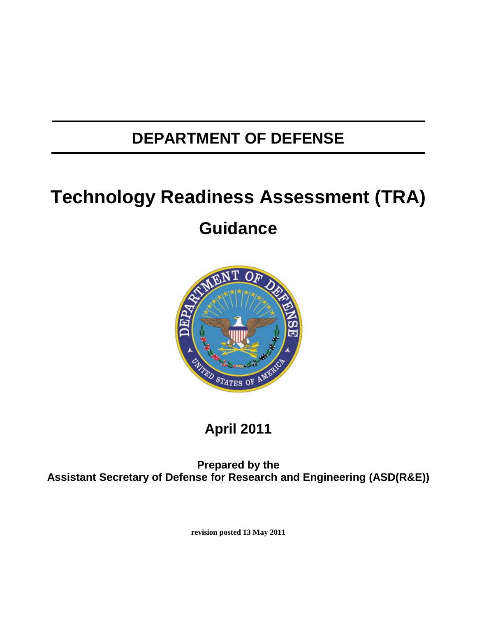# **DEPARTMENT OF DEFENSE**

# **Technology Readiness Assessment (TRA)**

**Guidance**



# **April 2011**

**Prepared by the Assistant Secretary of Defense for Research and Engineering (ASD(R&E))**

**revision posted 13 May 2011**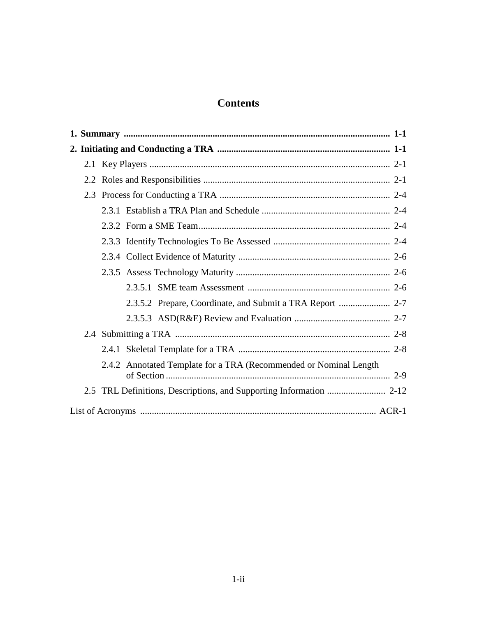### **Contents**

|  |  | 2.4.2 Annotated Template for a TRA (Recommended or Nominal Length |  |  |
|--|--|-------------------------------------------------------------------|--|--|
|  |  |                                                                   |  |  |
|  |  |                                                                   |  |  |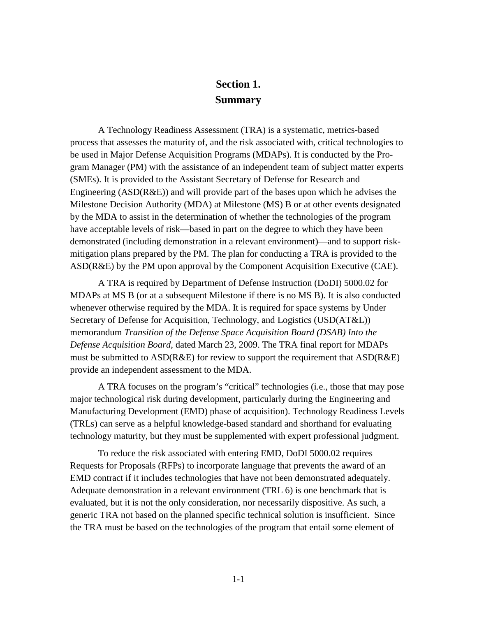## **Section 1. Summary**

A Technology Readiness Assessment (TRA) is a systematic, metrics-based process that assesses the maturity of, and the risk associated with, critical technologies to be used in Major Defense Acquisition Programs (MDAPs). It is conducted by the Program Manager (PM) with the assistance of an independent team of subject matter experts (SMEs). It is provided to the Assistant Secretary of Defense for Research and Engineering (ASD(R&E)) and will provide part of the bases upon which he advises the Milestone Decision Authority (MDA) at Milestone (MS) B or at other events designated by the MDA to assist in the determination of whether the technologies of the program have acceptable levels of risk—based in part on the degree to which they have been demonstrated (including demonstration in a relevant environment)—and to support riskmitigation plans prepared by the PM. The plan for conducting a TRA is provided to the ASD(R&E) by the PM upon approval by the Component Acquisition Executive (CAE).

A TRA is required by Department of Defense Instruction (DoDI) 5000.02 for MDAPs at MS B (or at a subsequent Milestone if there is no MS B). It is also conducted whenever otherwise required by the MDA. It is required for space systems by Under Secretary of Defense for Acquisition, Technology, and Logistics (USD(AT&L)) memorandum *Transition of the Defense Space Acquisition Board (DSAB) Into the Defense Acquisition Board*, dated March 23, 2009. The TRA final report for MDAPs must be submitted to  $ASD(R\&E)$  for review to support the requirement that  $ASD(R\&E)$ provide an independent assessment to the MDA.

A TRA focuses on the program's "critical" technologies (i.e., those that may pose major technological risk during development, particularly during the Engineering and Manufacturing Development (EMD) phase of acquisition). Technology Readiness Levels (TRLs) can serve as a helpful knowledge-based standard and shorthand for evaluating technology maturity, but they must be supplemented with expert professional judgment.

To reduce the risk associated with entering EMD, DoDI 5000.02 requires Requests for Proposals (RFPs) to incorporate language that prevents the award of an EMD contract if it includes technologies that have not been demonstrated adequately. Adequate demonstration in a relevant environment (TRL 6) is one benchmark that is evaluated, but it is not the only consideration, nor necessarily dispositive. As such, a generic TRA not based on the planned specific technical solution is insufficient. Since the TRA must be based on the technologies of the program that entail some element of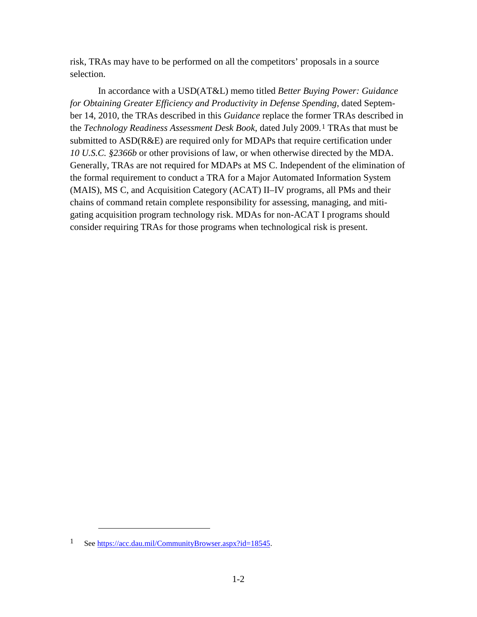risk, TRAs may have to be performed on all the competitors' proposals in a source selection.

In accordance with a USD(AT&L) memo titled *Better Buying Power: Guidance for Obtaining Greater Efficiency and Productivity in Defense Spending*, dated September 14, 2010, the TRAs described in this *Guidance* replace the former TRAs described in the *Technology Readiness Assessment Desk Book*, dated July 2009.[1](#page-3-0) TRAs that must be submitted to ASD(R&E) are required only for MDAPs that require certification under *10 U.S.C. §2366b* or other provisions of law, or when otherwise directed by the MDA. Generally, TRAs are not required for MDAPs at MS C. Independent of the elimination of the formal requirement to conduct a TRA for a Major Automated Information System (MAIS), MS C, and Acquisition Category (ACAT) II–IV programs, all PMs and their chains of command retain complete responsibility for assessing, managing, and mitigating acquisition program technology risk. MDAs for non-ACAT I programs should consider requiring TRAs for those programs when technological risk is present.

 $\overline{a}$ 

<span id="page-3-0"></span><sup>1</sup> See [https://acc.dau.mil/CommunityBrowser.aspx?id=18545.](https://acc.dau.mil/CommunityBrowser.aspx?id=18545)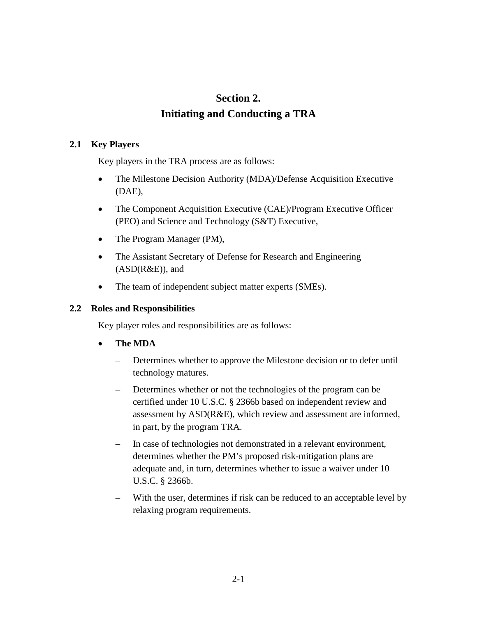## **Section 2. Initiating and Conducting a TRA**

#### **2.1 Key Players**

Key players in the TRA process are as follows:

- The Milestone Decision Authority (MDA)/Defense Acquisition Executive (DAE),
- The Component Acquisition Executive (CAE)/Program Executive Officer (PEO) and Science and Technology (S&T) Executive,
- The Program Manager (PM),
- The Assistant Secretary of Defense for Research and Engineering  $(ASD(R&E))$ , and
- The team of independent subject matter experts (SMEs).

#### **2.2 Roles and Responsibilities**

Key player roles and responsibilities are as follows:

- **The MDA**
	- Determines whether to approve the Milestone decision or to defer until technology matures.
	- Determines whether or not the technologies of the program can be certified under 10 U.S.C. § 2366b based on independent review and assessment by ASD(R&E), which review and assessment are informed, in part, by the program TRA.
	- In case of technologies not demonstrated in a relevant environment, determines whether the PM's proposed risk-mitigation plans are adequate and, in turn, determines whether to issue a waiver under 10 U.S.C. § 2366b.
	- With the user, determines if risk can be reduced to an acceptable level by relaxing program requirements.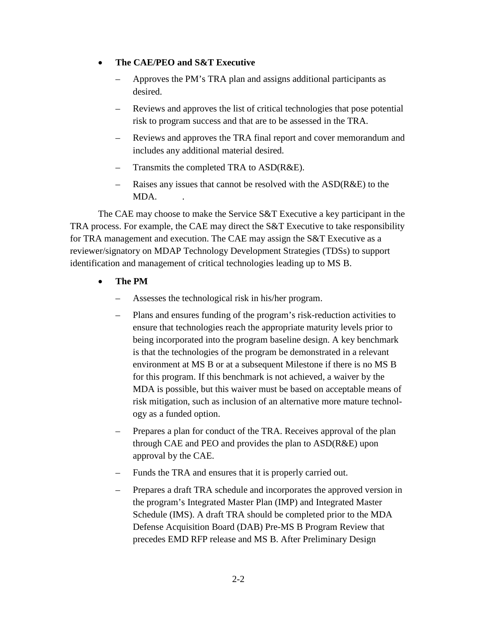#### • **The CAE/PEO and S&T Executive**

- Approves the PM's TRA plan and assigns additional participants as desired.
- Reviews and approves the list of critical technologies that pose potential risk to program success and that are to be assessed in the TRA.
- Reviews and approves the TRA final report and cover memorandum and includes any additional material desired.
- Transmits the completed TRA to ASD(R&E).
- Raises any issues that cannot be resolved with the  $ASD(R&E)$  to the MDA.

The CAE may choose to make the Service S&T Executive a key participant in the TRA process. For example, the CAE may direct the S&T Executive to take responsibility for TRA management and execution. The CAE may assign the S&T Executive as a reviewer/signatory on MDAP Technology Development Strategies (TDSs) to support identification and management of critical technologies leading up to MS B.

- **The PM**
	- Assesses the technological risk in his/her program.
	- Plans and ensures funding of the program's risk-reduction activities to ensure that technologies reach the appropriate maturity levels prior to being incorporated into the program baseline design. A key benchmark is that the technologies of the program be demonstrated in a relevant environment at MS B or at a subsequent Milestone if there is no MS B for this program. If this benchmark is not achieved, a waiver by the MDA is possible, but this waiver must be based on acceptable means of risk mitigation, such as inclusion of an alternative more mature technology as a funded option.
	- Prepares a plan for conduct of the TRA. Receives approval of the plan through CAE and PEO and provides the plan to ASD(R&E) upon approval by the CAE.
	- Funds the TRA and ensures that it is properly carried out.
	- Prepares a draft TRA schedule and incorporates the approved version in the program's Integrated Master Plan (IMP) and Integrated Master Schedule (IMS). A draft TRA should be completed prior to the MDA Defense Acquisition Board (DAB) Pre-MS B Program Review that precedes EMD RFP release and MS B. After Preliminary Design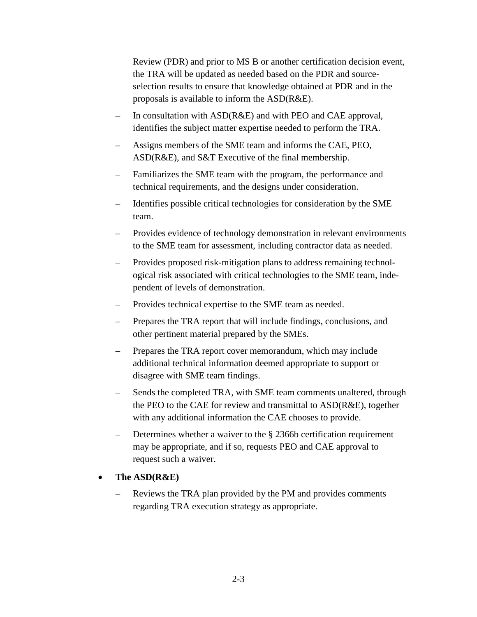Review (PDR) and prior to MS B or another certification decision event, the TRA will be updated as needed based on the PDR and sourceselection results to ensure that knowledge obtained at PDR and in the proposals is available to inform the ASD(R&E).

- In consultation with ASD(R&E) and with PEO and CAE approval, identifies the subject matter expertise needed to perform the TRA.
- Assigns members of the SME team and informs the CAE, PEO, ASD(R&E), and S&T Executive of the final membership.
- Familiarizes the SME team with the program, the performance and technical requirements, and the designs under consideration.
- Identifies possible critical technologies for consideration by the SME team.
- Provides evidence of technology demonstration in relevant environments to the SME team for assessment, including contractor data as needed.
- Provides proposed risk-mitigation plans to address remaining technological risk associated with critical technologies to the SME team, independent of levels of demonstration.
- Provides technical expertise to the SME team as needed.
- Prepares the TRA report that will include findings, conclusions, and other pertinent material prepared by the SMEs.
- Prepares the TRA report cover memorandum, which may include additional technical information deemed appropriate to support or disagree with SME team findings.
- Sends the completed TRA, with SME team comments unaltered, through the PEO to the CAE for review and transmittal to ASD(R&E), together with any additional information the CAE chooses to provide.
- Determines whether a waiver to the § 2366b certification requirement may be appropriate, and if so, requests PEO and CAE approval to request such a waiver.

#### • **The ASD(R&E)**

– Reviews the TRA plan provided by the PM and provides comments regarding TRA execution strategy as appropriate.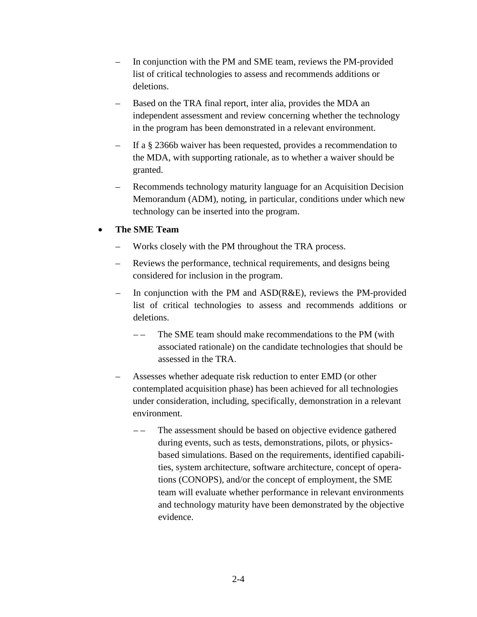- In conjunction with the PM and SME team, reviews the PM-provided list of critical technologies to assess and recommends additions or deletions.
- Based on the TRA final report, inter alia, provides the MDA an independent assessment and review concerning whether the technology in the program has been demonstrated in a relevant environment.
- If a § 2366b waiver has been requested, provides a recommendation to the MDA, with supporting rationale, as to whether a waiver should be granted.
- Recommends technology maturity language for an Acquisition Decision Memorandum (ADM), noting, in particular, conditions under which new technology can be inserted into the program.

#### • **The SME Team**

- Works closely with the PM throughout the TRA process.
- Reviews the performance, technical requirements, and designs being considered for inclusion in the program.
- $-$  In conjunction with the PM and ASD(R&E), reviews the PM-provided list of critical technologies to assess and recommends additions or deletions.
	- – The SME team should make recommendations to the PM (with associated rationale) on the candidate technologies that should be assessed in the TRA.
- Assesses whether adequate risk reduction to enter EMD (or other contemplated acquisition phase) has been achieved for all technologies under consideration, including, specifically, demonstration in a relevant environment.
	- The assessment should be based on objective evidence gathered during events, such as tests, demonstrations, pilots, or physicsbased simulations. Based on the requirements, identified capabilities, system architecture, software architecture, concept of operations (CONOPS), and/or the concept of employment, the SME team will evaluate whether performance in relevant environments and technology maturity have been demonstrated by the objective evidence.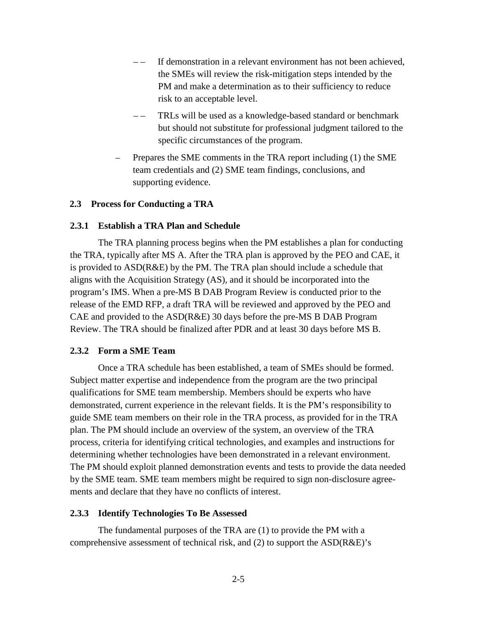- – If demonstration in a relevant environment has not been achieved, the SMEs will review the risk-mitigation steps intended by the PM and make a determination as to their sufficiency to reduce risk to an acceptable level.
- – TRLs will be used as a knowledge-based standard or benchmark but should not substitute for professional judgment tailored to the specific circumstances of the program.
- Prepares the SME comments in the TRA report including (1) the SME team credentials and (2) SME team findings, conclusions, and supporting evidence.

#### **2.3 Process for Conducting a TRA**

#### **2.3.1 Establish a TRA Plan and Schedule**

The TRA planning process begins when the PM establishes a plan for conducting the TRA, typically after MS A. After the TRA plan is approved by the PEO and CAE, it is provided to ASD(R&E) by the PM. The TRA plan should include a schedule that aligns with the Acquisition Strategy (AS), and it should be incorporated into the program's IMS. When a pre-MS B DAB Program Review is conducted prior to the release of the EMD RFP, a draft TRA will be reviewed and approved by the PEO and CAE and provided to the ASD(R&E) 30 days before the pre-MS B DAB Program Review. The TRA should be finalized after PDR and at least 30 days before MS B.

#### **2.3.2 Form a SME Team**

Once a TRA schedule has been established, a team of SMEs should be formed. Subject matter expertise and independence from the program are the two principal qualifications for SME team membership. Members should be experts who have demonstrated, current experience in the relevant fields. It is the PM's responsibility to guide SME team members on their role in the TRA process, as provided for in the TRA plan. The PM should include an overview of the system, an overview of the TRA process, criteria for identifying critical technologies, and examples and instructions for determining whether technologies have been demonstrated in a relevant environment. The PM should exploit planned demonstration events and tests to provide the data needed by the SME team. SME team members might be required to sign non-disclosure agreements and declare that they have no conflicts of interest.

#### **2.3.3 Identify Technologies To Be Assessed**

The fundamental purposes of the TRA are (1) to provide the PM with a comprehensive assessment of technical risk, and (2) to support the ASD(R&E)'s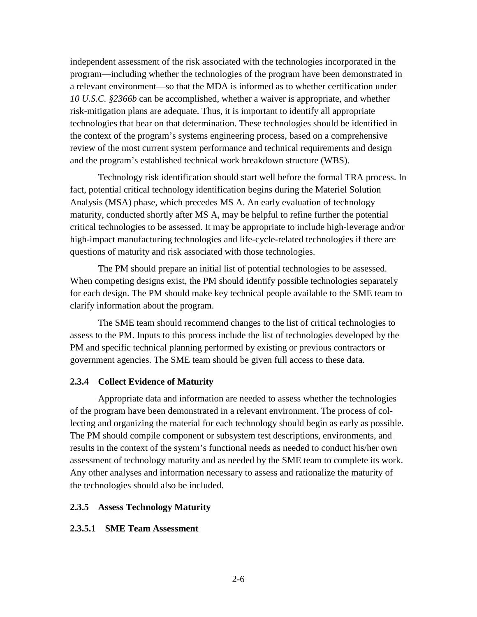independent assessment of the risk associated with the technologies incorporated in the program—including whether the technologies of the program have been demonstrated in a relevant environment—so that the MDA is informed as to whether certification under *10 U.S.C. §2366b* can be accomplished, whether a waiver is appropriate, and whether risk-mitigation plans are adequate. Thus, it is important to identify all appropriate technologies that bear on that determination. These technologies should be identified in the context of the program's systems engineering process, based on a comprehensive review of the most current system performance and technical requirements and design and the program's established technical work breakdown structure (WBS).

Technology risk identification should start well before the formal TRA process. In fact, potential critical technology identification begins during the Materiel Solution Analysis (MSA) phase, which precedes MS A. An early evaluation of technology maturity, conducted shortly after MS A, may be helpful to refine further the potential critical technologies to be assessed. It may be appropriate to include high-leverage and/or high-impact manufacturing technologies and life-cycle-related technologies if there are questions of maturity and risk associated with those technologies.

The PM should prepare an initial list of potential technologies to be assessed. When competing designs exist, the PM should identify possible technologies separately for each design. The PM should make key technical people available to the SME team to clarify information about the program.

The SME team should recommend changes to the list of critical technologies to assess to the PM. Inputs to this process include the list of technologies developed by the PM and specific technical planning performed by existing or previous contractors or government agencies. The SME team should be given full access to these data.

#### **2.3.4 Collect Evidence of Maturity**

Appropriate data and information are needed to assess whether the technologies of the program have been demonstrated in a relevant environment. The process of collecting and organizing the material for each technology should begin as early as possible. The PM should compile component or subsystem test descriptions, environments, and results in the context of the system's functional needs as needed to conduct his/her own assessment of technology maturity and as needed by the SME team to complete its work. Any other analyses and information necessary to assess and rationalize the maturity of the technologies should also be included.

#### **2.3.5 Assess Technology Maturity**

#### **2.3.5.1 SME Team Assessment**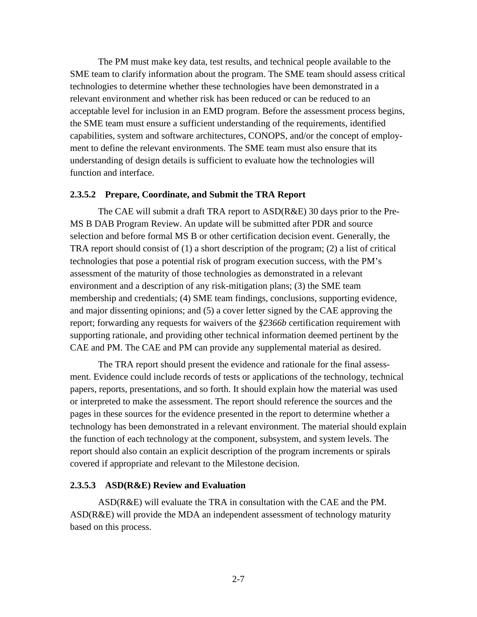The PM must make key data, test results, and technical people available to the SME team to clarify information about the program. The SME team should assess critical technologies to determine whether these technologies have been demonstrated in a relevant environment and whether risk has been reduced or can be reduced to an acceptable level for inclusion in an EMD program. Before the assessment process begins, the SME team must ensure a sufficient understanding of the requirements, identified capabilities, system and software architectures, CONOPS, and/or the concept of employment to define the relevant environments. The SME team must also ensure that its understanding of design details is sufficient to evaluate how the technologies will function and interface.

#### **2.3.5.2 Prepare, Coordinate, and Submit the TRA Report**

The CAE will submit a draft TRA report to ASD(R&E) 30 days prior to the Pre-MS B DAB Program Review. An update will be submitted after PDR and source selection and before formal MS B or other certification decision event. Generally, the TRA report should consist of (1) a short description of the program; (2) a list of critical technologies that pose a potential risk of program execution success, with the PM's assessment of the maturity of those technologies as demonstrated in a relevant environment and a description of any risk-mitigation plans; (3) the SME team membership and credentials; (4) SME team findings, conclusions, supporting evidence, and major dissenting opinions; and (5) a cover letter signed by the CAE approving the report; forwarding any requests for waivers of the *§2366b* certification requirement with supporting rationale, and providing other technical information deemed pertinent by the CAE and PM. The CAE and PM can provide any supplemental material as desired.

The TRA report should present the evidence and rationale for the final assessment. Evidence could include records of tests or applications of the technology, technical papers, reports, presentations, and so forth. It should explain how the material was used or interpreted to make the assessment. The report should reference the sources and the pages in these sources for the evidence presented in the report to determine whether a technology has been demonstrated in a relevant environment. The material should explain the function of each technology at the component, subsystem, and system levels. The report should also contain an explicit description of the program increments or spirals covered if appropriate and relevant to the Milestone decision.

#### **2.3.5.3 ASD(R&E) Review and Evaluation**

ASD(R&E) will evaluate the TRA in consultation with the CAE and the PM. ASD(R&E) will provide the MDA an independent assessment of technology maturity based on this process.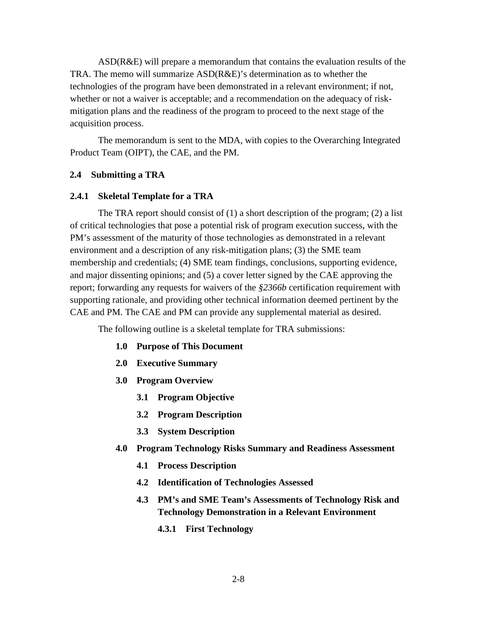ASD(R&E) will prepare a memorandum that contains the evaluation results of the TRA. The memo will summarize ASD(R&E)'s determination as to whether the technologies of the program have been demonstrated in a relevant environment; if not, whether or not a waiver is acceptable; and a recommendation on the adequacy of riskmitigation plans and the readiness of the program to proceed to the next stage of the acquisition process.

The memorandum is sent to the MDA, with copies to the Overarching Integrated Product Team (OIPT), the CAE, and the PM.

#### **2.4 Submitting a TRA**

#### **2.4.1 Skeletal Template for a TRA**

The TRA report should consist of (1) a short description of the program; (2) a list of critical technologies that pose a potential risk of program execution success, with the PM's assessment of the maturity of those technologies as demonstrated in a relevant environment and a description of any risk-mitigation plans; (3) the SME team membership and credentials; (4) SME team findings, conclusions, supporting evidence, and major dissenting opinions; and (5) a cover letter signed by the CAE approving the report; forwarding any requests for waivers of the *§2366b* certification requirement with supporting rationale, and providing other technical information deemed pertinent by the CAE and PM. The CAE and PM can provide any supplemental material as desired.

The following outline is a skeletal template for TRA submissions:

- **1.0 Purpose of This Document**
- **2.0 Executive Summary**
- **3.0 Program Overview**
	- **3.1 Program Objective**
	- **3.2 Program Description**
	- **3.3 System Description**
- **4.0 Program Technology Risks Summary and Readiness Assessment**
	- **4.1 Process Description**
	- **4.2 Identification of Technologies Assessed**
	- **4.3 PM's and SME Team's Assessments of Technology Risk and Technology Demonstration in a Relevant Environment**
		- **4.3.1 First Technology**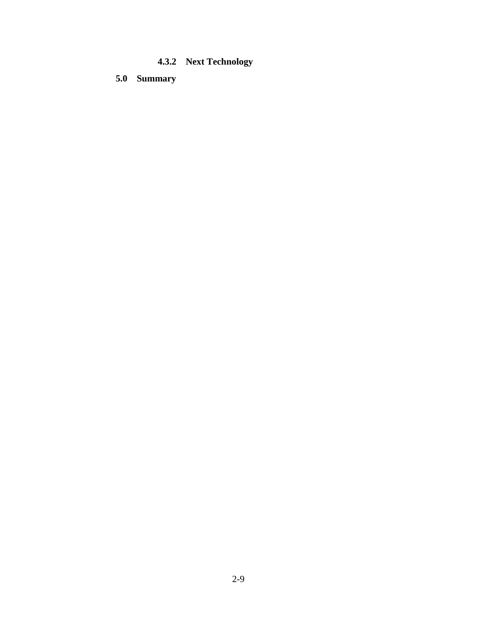## **4.3.2 Next Technology**

**5.0 Summary**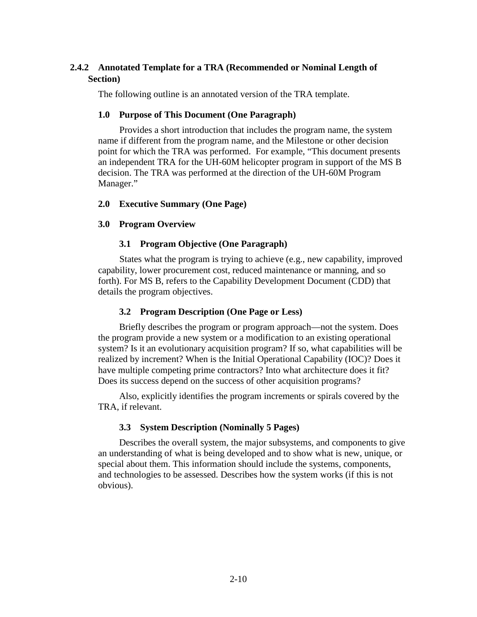#### **2.4.2 Annotated Template for a TRA (Recommended or Nominal Length of Section)**

The following outline is an annotated version of the TRA template.

#### **1.0 Purpose of This Document (One Paragraph)**

Provides a short introduction that includes the program name, the system name if different from the program name, and the Milestone or other decision point for which the TRA was performed. For example, "This document presents an independent TRA for the UH-60M helicopter program in support of the MS B decision. The TRA was performed at the direction of the UH-60M Program Manager."

#### **2.0 Executive Summary (One Page)**

#### **3.0 Program Overview**

#### **3.1 Program Objective (One Paragraph)**

States what the program is trying to achieve (e.g., new capability, improved capability, lower procurement cost, reduced maintenance or manning, and so forth). For MS B, refers to the Capability Development Document (CDD) that details the program objectives.

#### **3.2 Program Description (One Page or Less)**

Briefly describes the program or program approach—not the system. Does the program provide a new system or a modification to an existing operational system? Is it an evolutionary acquisition program? If so, what capabilities will be realized by increment? When is the Initial Operational Capability (IOC)? Does it have multiple competing prime contractors? Into what architecture does it fit? Does its success depend on the success of other acquisition programs?

Also, explicitly identifies the program increments or spirals covered by the TRA, if relevant.

#### **3.3 System Description (Nominally 5 Pages)**

Describes the overall system, the major subsystems, and components to give an understanding of what is being developed and to show what is new, unique, or special about them. This information should include the systems, components, and technologies to be assessed. Describes how the system works (if this is not obvious).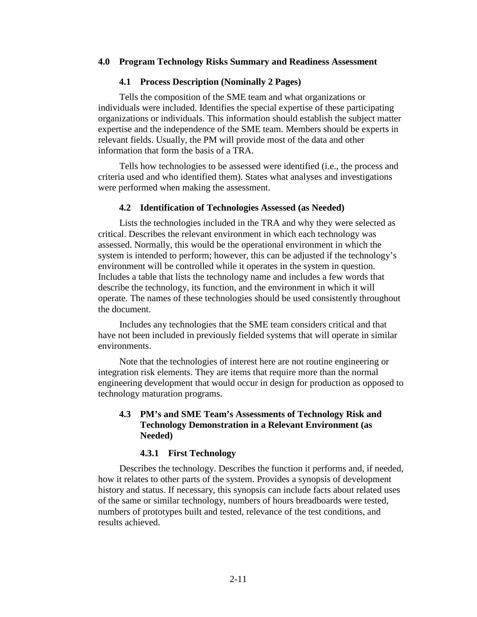#### **4.0 Program Technology Risks Summary and Readiness Assessment**

#### **4.1 Process Description (Nominally 2 Pages)**

Tells the composition of the SME team and what organizations or individuals were included. Identifies the special expertise of these participating organizations or individuals. This information should establish the subject matter expertise and the independence of the SME team. Members should be experts in relevant fields. Usually, the PM will provide most of the data and other information that form the basis of a TRA.

Tells how technologies to be assessed were identified (i.e., the process and criteria used and who identified them). States what analyses and investigations were performed when making the assessment.

#### **4.2 Identification of Technologies Assessed (as Needed)**

Lists the technologies included in the TRA and why they were selected as critical. Describes the relevant environment in which each technology was assessed. Normally, this would be the operational environment in which the system is intended to perform; however, this can be adjusted if the technology's environment will be controlled while it operates in the system in question. Includes a table that lists the technology name and includes a few words that describe the technology, its function, and the environment in which it will operate. The names of these technologies should be used consistently throughout the document.

Includes any technologies that the SME team considers critical and that have not been included in previously fielded systems that will operate in similar environments.

Note that the technologies of interest here are not routine engineering or integration risk elements. They are items that require more than the normal engineering development that would occur in design for production as opposed to technology maturation programs.

#### **4.3 PM's and SME Team's Assessments of Technology Risk and Technology Demonstration in a Relevant Environment (as Needed)**

#### **4.3.1 First Technology**

Describes the technology. Describes the function it performs and, if needed, how it relates to other parts of the system. Provides a synopsis of development history and status. If necessary, this synopsis can include facts about related uses of the same or similar technology, numbers of hours breadboards were tested, numbers of prototypes built and tested, relevance of the test conditions, and results achieved.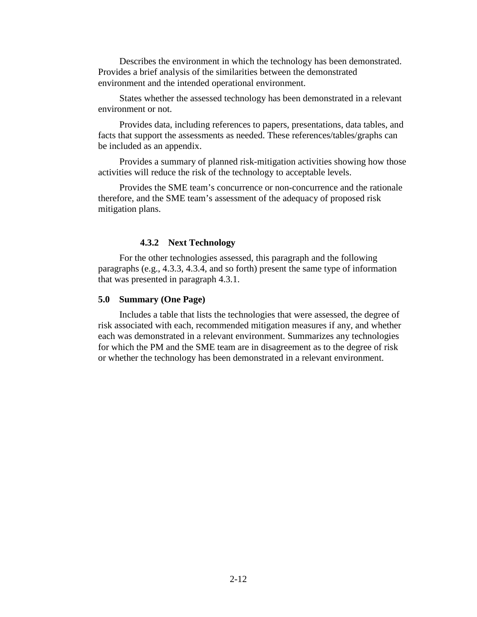Describes the environment in which the technology has been demonstrated. Provides a brief analysis of the similarities between the demonstrated environment and the intended operational environment.

States whether the assessed technology has been demonstrated in a relevant environment or not.

Provides data, including references to papers, presentations, data tables, and facts that support the assessments as needed. These references/tables/graphs can be included as an appendix.

Provides a summary of planned risk-mitigation activities showing how those activities will reduce the risk of the technology to acceptable levels.

Provides the SME team's concurrence or non-concurrence and the rationale therefore, and the SME team's assessment of the adequacy of proposed risk mitigation plans.

#### **4.3.2 Next Technology**

For the other technologies assessed, this paragraph and the following paragraphs (e.g., 4.3.3, 4.3.4, and so forth) present the same type of information that was presented in paragraph 4.3.1.

#### **5.0 Summary (One Page)**

Includes a table that lists the technologies that were assessed, the degree of risk associated with each, recommended mitigation measures if any, and whether each was demonstrated in a relevant environment. Summarizes any technologies for which the PM and the SME team are in disagreement as to the degree of risk or whether the technology has been demonstrated in a relevant environment.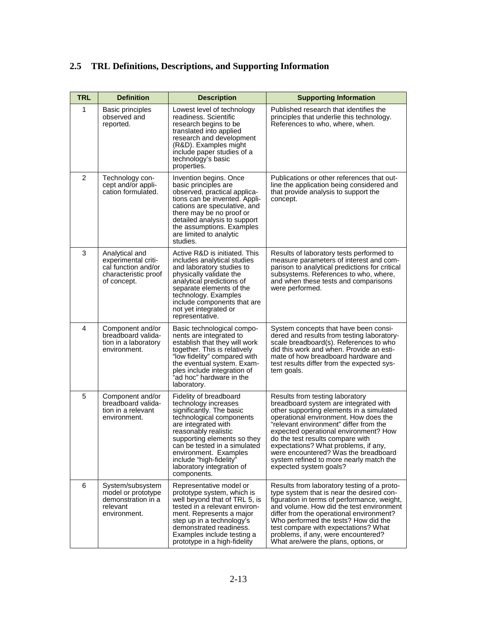# **2.5 TRL Definitions, Descriptions, and Supporting Information**

| <b>TRL</b> | <b>Definition</b>                                                                                   | <b>Description</b>                                                                                                                                                                                                                                                                                                   | <b>Supporting Information</b>                                                                                                                                                                                                                                                                                                                                                                                                             |
|------------|-----------------------------------------------------------------------------------------------------|----------------------------------------------------------------------------------------------------------------------------------------------------------------------------------------------------------------------------------------------------------------------------------------------------------------------|-------------------------------------------------------------------------------------------------------------------------------------------------------------------------------------------------------------------------------------------------------------------------------------------------------------------------------------------------------------------------------------------------------------------------------------------|
| 1          | Basic principles<br>observed and<br>reported.                                                       | Lowest level of technology<br>readiness. Scientific<br>research begins to be<br>translated into applied<br>research and development<br>(R&D). Examples might<br>include paper studies of a<br>technology's basic<br>properties.                                                                                      | Published research that identifies the<br>principles that underlie this technology.<br>References to who, where, when.                                                                                                                                                                                                                                                                                                                    |
| 2          | Technology con-<br>cept and/or appli-<br>cation formulated.                                         | Invention begins. Once<br>basic principles are<br>observed, practical applica-<br>tions can be invented. Appli-<br>cations are speculative, and<br>there may be no proof or<br>detailed analysis to support<br>the assumptions. Examples<br>are limited to analytic<br>studies.                                      | Publications or other references that out-<br>line the application being considered and<br>that provide analysis to support the<br>concept.                                                                                                                                                                                                                                                                                               |
| 3          | Analytical and<br>experimental criti-<br>cal function and/or<br>characteristic proof<br>of concept. | Active R&D is initiated. This<br>includes analytical studies<br>and laboratory studies to<br>physically validate the<br>analytical predictions of<br>separate elements of the<br>technology. Examples<br>include components that are<br>not yet integrated or<br>representative.                                     | Results of laboratory tests performed to<br>measure parameters of interest and com-<br>parison to analytical predictions for critical<br>subsystems. References to who, where,<br>and when these tests and comparisons<br>were performed.                                                                                                                                                                                                 |
| 4          | Component and/or<br>breadboard valida-<br>tion in a laboratory<br>environment.                      | Basic technological compo-<br>nents are integrated to<br>establish that they will work<br>together. This is relatively<br>"low fidelity" compared with<br>the eventual system. Exam-<br>ples include integration of<br>"ad hoc" hardware in the<br>laboratory.                                                       | System concepts that have been consi-<br>dered and results from testing laboratory-<br>scale breadboard(s). References to who<br>did this work and when. Provide an esti-<br>mate of how breadboard hardware and<br>test results differ from the expected sys-<br>tem goals.                                                                                                                                                              |
| 5          | Component and/or<br>breadboard valida-<br>tion in a relevant<br>environment.                        | Fidelity of breadboard<br>technology increases<br>significantly. The basic<br>technological components<br>are integrated with<br>reasonably realistic<br>supporting elements so they<br>can be tested in a simulated<br>environment. Examples<br>include "high-fidelity"<br>laboratory integration of<br>components. | Results from testing laboratory<br>breadboard system are integrated with<br>other supporting elements in a simulated<br>operational environment. How does the<br>"relevant environment" differ from the<br>expected operational environment? How<br>do the test results compare with<br>expectations? What problems, if any,<br>were encountered? Was the breadboard<br>system refined to more nearly match the<br>expected system goals? |
| 6          | System/subsystem<br>model or prototype<br>demonstration in a<br>relevant<br>environment.            | Representative model or<br>prototype system, which is<br>well beyond that of TRL 5, is<br>tested in a relevant environ-<br>ment. Represents a major<br>step up in a technology's<br>demonstrated readiness.<br>Examples include testing a<br>prototype in a high-fidelity                                            | Results from laboratory testing of a proto-<br>type system that is near the desired con-<br>figuration in terms of performance, weight,<br>and volume. How did the test environment<br>differ from the operational environment?<br>Who performed the tests? How did the<br>test compare with expectations? What<br>problems, if any, were encountered?<br>What are/were the plans, options, or                                            |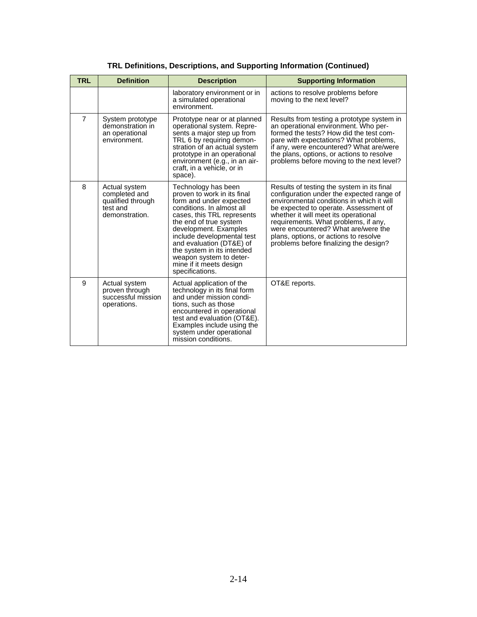| <b>TRL</b>     | <b>Definition</b>                                                                 | <b>Description</b>                                                                                                                                                                                                                                                                                                                                           | <b>Supporting Information</b>                                                                                                                                                                                                                                                                                                                                                           |
|----------------|-----------------------------------------------------------------------------------|--------------------------------------------------------------------------------------------------------------------------------------------------------------------------------------------------------------------------------------------------------------------------------------------------------------------------------------------------------------|-----------------------------------------------------------------------------------------------------------------------------------------------------------------------------------------------------------------------------------------------------------------------------------------------------------------------------------------------------------------------------------------|
|                |                                                                                   | laboratory environment or in<br>a simulated operational<br>environment.                                                                                                                                                                                                                                                                                      | actions to resolve problems before<br>moving to the next level?                                                                                                                                                                                                                                                                                                                         |
| $\overline{7}$ | System prototype<br>demonstration in<br>an operational<br>environment.            | Prototype near or at planned<br>operational system. Repre-<br>sents a major step up from<br>TRL 6 by requiring demon-<br>stration of an actual system<br>prototype in an operational<br>environment (e.g., in an air-<br>craft, in a vehicle, or in<br>space).                                                                                               | Results from testing a prototype system in<br>an operational environment. Who per-<br>formed the tests? How did the test com-<br>pare with expectations? What problems,<br>if any, were encountered? What are/were<br>the plans, options, or actions to resolve<br>problems before moving to the next level?                                                                            |
| 8              | Actual system<br>completed and<br>qualified through<br>test and<br>demonstration. | Technology has been<br>proven to work in its final<br>form and under expected<br>conditions. In almost all<br>cases, this TRL represents<br>the end of true system<br>development. Examples<br>include developmental test<br>and evaluation (DT&E) of<br>the system in its intended<br>weapon system to deter-<br>mine if it meets design<br>specifications. | Results of testing the system in its final<br>configuration under the expected range of<br>environmental conditions in which it will<br>be expected to operate. Assessment of<br>whether it will meet its operational<br>requirements. What problems, if any,<br>were encountered? What are/were the<br>plans, options, or actions to resolve<br>problems before finalizing the design? |
| 9              | Actual system<br>proven through<br>successful mission<br>operations.              | Actual application of the<br>technology in its final form<br>and under mission condi-<br>tions, such as those<br>encountered in operational<br>test and evaluation (OT&E).<br>Examples include using the<br>system under operational<br>mission conditions.                                                                                                  | OT&E reports.                                                                                                                                                                                                                                                                                                                                                                           |

#### **TRL Definitions, Descriptions, and Supporting Information (Continued)**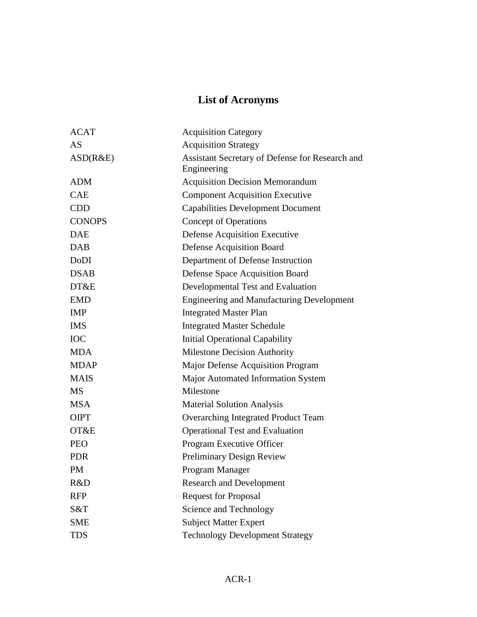# **List of Acronyms**

| <b>ACAT</b>   | <b>Acquisition Category</b>                                    |
|---------------|----------------------------------------------------------------|
| AS            | <b>Acquisition Strategy</b>                                    |
| ASD(R&E)      | Assistant Secretary of Defense for Research and<br>Engineering |
| <b>ADM</b>    | <b>Acquisition Decision Memorandum</b>                         |
| <b>CAE</b>    | <b>Component Acquisition Executive</b>                         |
| <b>CDD</b>    | <b>Capabilities Development Document</b>                       |
| <b>CONOPS</b> | <b>Concept of Operations</b>                                   |
| <b>DAE</b>    | <b>Defense Acquisition Executive</b>                           |
| <b>DAB</b>    | <b>Defense Acquisition Board</b>                               |
| DoDI          | Department of Defense Instruction                              |
| <b>DSAB</b>   | Defense Space Acquisition Board                                |
| DT&E          | Developmental Test and Evaluation                              |
| <b>EMD</b>    | <b>Engineering and Manufacturing Development</b>               |
| <b>IMP</b>    | <b>Integrated Master Plan</b>                                  |
| <b>IMS</b>    | <b>Integrated Master Schedule</b>                              |
| <b>IOC</b>    | <b>Initial Operational Capability</b>                          |
| <b>MDA</b>    | <b>Milestone Decision Authority</b>                            |
| <b>MDAP</b>   | <b>Major Defense Acquisition Program</b>                       |
| <b>MAIS</b>   | Major Automated Information System                             |
| <b>MS</b>     | Milestone                                                      |
| <b>MSA</b>    | <b>Material Solution Analysis</b>                              |
| <b>OIPT</b>   | <b>Overarching Integrated Product Team</b>                     |
| OT&E          | <b>Operational Test and Evaluation</b>                         |
| <b>PEO</b>    | Program Executive Officer                                      |
| <b>PDR</b>    | <b>Preliminary Design Review</b>                               |
| <b>PM</b>     | Program Manager                                                |
| R&D           | <b>Research and Development</b>                                |
| <b>RFP</b>    | <b>Request for Proposal</b>                                    |
| S&T           | Science and Technology                                         |
| <b>SME</b>    | <b>Subject Matter Expert</b>                                   |
| <b>TDS</b>    | <b>Technology Development Strategy</b>                         |